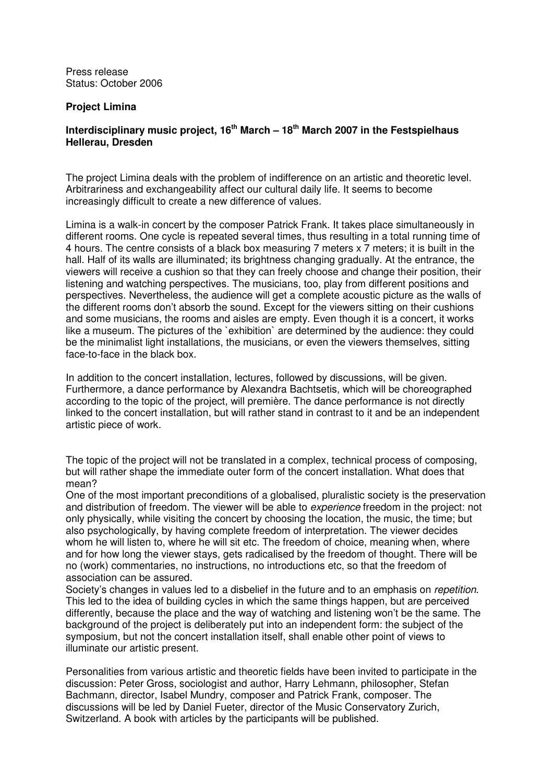Press release Status: October 2006

## **Project Limina**

## **Interdisciplinary music project, 16th March – 18th March 2007 in the Festspielhaus Hellerau, Dresden**

The project Limina deals with the problem of indifference on an artistic and theoretic level. Arbitrariness and exchangeability affect our cultural daily life. It seems to become increasingly difficult to create a new difference of values.

Limina is a walk-in concert by the composer Patrick Frank. It takes place simultaneously in different rooms. One cycle is repeated several times, thus resulting in a total running time of 4 hours. The centre consists of a black box measuring 7 meters x 7 meters; it is built in the hall. Half of its walls are illuminated; its brightness changing gradually. At the entrance, the viewers will receive a cushion so that they can freely choose and change their position, their listening and watching perspectives. The musicians, too, play from different positions and perspectives. Nevertheless, the audience will get a complete acoustic picture as the walls of the different rooms don't absorb the sound. Except for the viewers sitting on their cushions and some musicians, the rooms and aisles are empty. Even though it is a concert, it works like a museum. The pictures of the `exhibition` are determined by the audience: they could be the minimalist light installations, the musicians, or even the viewers themselves, sitting face-to-face in the black box.

In addition to the concert installation, lectures, followed by discussions, will be given. Furthermore, a dance performance by Alexandra Bachtsetis, which will be choreographed according to the topic of the project, will première. The dance performance is not directly linked to the concert installation, but will rather stand in contrast to it and be an independent artistic piece of work.

The topic of the project will not be translated in a complex, technical process of composing, but will rather shape the immediate outer form of the concert installation. What does that mean?

One of the most important preconditions of a globalised, pluralistic society is the preservation and distribution of freedom. The viewer will be able to *experience* freedom in the project: not only physically, while visiting the concert by choosing the location, the music, the time; but also psychologically, by having complete freedom of interpretation. The viewer decides whom he will listen to, where he will sit etc. The freedom of choice, meaning when, where and for how long the viewer stays, gets radicalised by the freedom of thought. There will be no (work) commentaries, no instructions, no introductions etc, so that the freedom of association can be assured.

Society's changes in values led to a disbelief in the future and to an emphasis on repetition. This led to the idea of building cycles in which the same things happen, but are perceived differently, because the place and the way of watching and listening won't be the same. The background of the project is deliberately put into an independent form: the subject of the symposium, but not the concert installation itself, shall enable other point of views to illuminate our artistic present.

Personalities from various artistic and theoretic fields have been invited to participate in the discussion: Peter Gross, sociologist and author, Harry Lehmann, philosopher, Stefan Bachmann, director, Isabel Mundry, composer and Patrick Frank, composer. The discussions will be led by Daniel Fueter, director of the Music Conservatory Zurich, Switzerland. A book with articles by the participants will be published.